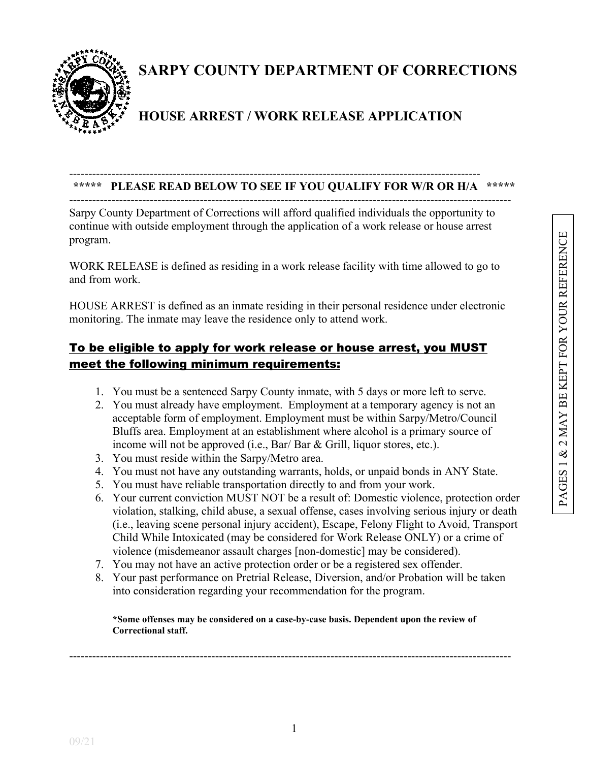

# **SARPY COUNTY DEPARTMENT OF CORRECTIONS**

## **HOUSE ARREST / WORK RELEASE APPLICATION**

#### ----------------------------------------------------------------------------------------------------------- **\*\*\*\*\* PLEASE READ BELOW TO SEE IF YOU QUALIFY FOR W/R OR H/A \*\*\*\*\***

-------------------------------------------------------------------------------------------------------------------

Sarpy County Department of Corrections will afford qualified individuals the opportunity to continue with outside employment through the application of a work release or house arrest program.

WORK RELEASE is defined as residing in a work release facility with time allowed to go to and from work.

HOUSE ARREST is defined as an inmate residing in their personal residence under electronic monitoring. The inmate may leave the residence only to attend work.

### To be eligible to apply for work release or house arrest, you MUST meet the following minimum requirements:

- 1. You must be a sentenced Sarpy County inmate, with 5 days or more left to serve.
- 2. You must already have employment. Employment at a temporary agency is not an acceptable form of employment. Employment must be within Sarpy/Metro/Council Bluffs area. Employment at an establishment where alcohol is a primary source of income will not be approved (i.e., Bar/ Bar & Grill, liquor stores, etc.).
- 3. You must reside within the Sarpy/Metro area.
- 4. You must not have any outstanding warrants, holds, or unpaid bonds in ANY State.
- 5. You must have reliable transportation directly to and from your work.
- 6. Your current conviction MUST NOT be a result of: Domestic violence, protection order violation, stalking, child abuse, a sexual offense, cases involving serious injury or death (i.e., leaving scene personal injury accident), Escape, Felony Flight to Avoid, Transport Child While Intoxicated (may be considered for Work Release ONLY) or a crime of violence (misdemeanor assault charges [non-domestic] may be considered).
- 7. You may not have an active protection order or be a registered sex offender.
- 8. Your past performance on Pretrial Release, Diversion, and/or Probation will be taken into consideration regarding your recommendation for the program.

**\*Some offenses may be considered on a case-by-case basis. Dependent upon the review of Correctional staff.**

-------------------------------------------------------------------------------------------------------------------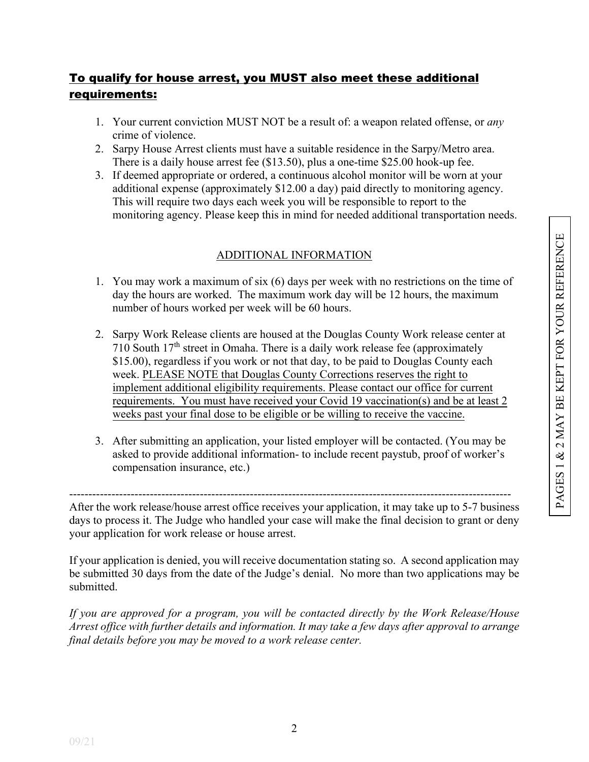### To qualify for house arrest, you MUST also meet these additional requirements:

- 1. Your current conviction MUST NOT be a result of: a weapon related offense, or *any* crime of violence.
- 2. Sarpy House Arrest clients must have a suitable residence in the Sarpy/Metro area. There is a daily house arrest fee (\$13.50), plus a one-time \$25.00 hook-up fee.
- 3. If deemed appropriate or ordered, a continuous alcohol monitor will be worn at your additional expense (approximately \$12.00 a day) paid directly to monitoring agency. This will require two days each week you will be responsible to report to the monitoring agency. Please keep this in mind for needed additional transportation needs.

#### ADDITIONAL INFORMATION

- 1. You may work a maximum of six (6) days per week with no restrictions on the time of day the hours are worked. The maximum work day will be 12 hours, the maximum number of hours worked per week will be 60 hours.
- 2. Sarpy Work Release clients are housed at the Douglas County Work release center at 710 South  $17<sup>th</sup>$  street in Omaha. There is a daily work release fee (approximately \$15.00), regardless if you work or not that day, to be paid to Douglas County each week. PLEASE NOTE that Douglas County Corrections reserves the right to implement additional eligibility requirements. Please contact our office for current requirements. You must have received your Covid 19 vaccination(s) and be at least 2 weeks past your final dose to be eligible or be willing to receive the vaccine.
- 3. After submitting an application, your listed employer will be contacted. (You may be asked to provide additional information- to include recent paystub, proof of worker's compensation insurance, etc.)

------------------------------------------------------------------------------------------------------------------- After the work release/house arrest office receives your application, it may take up to 5-7 business days to process it. The Judge who handled your case will make the final decision to grant or deny your application for work release or house arrest.

If your application is denied, you will receive documentation stating so. A second application may be submitted 30 days from the date of the Judge's denial. No more than two applications may be submitted.

*If you are approved for a program, you will be contacted directly by the Work Release/House Arrest office with further details and information. It may take a few days after approval to arrange final details before you may be moved to a work release center.*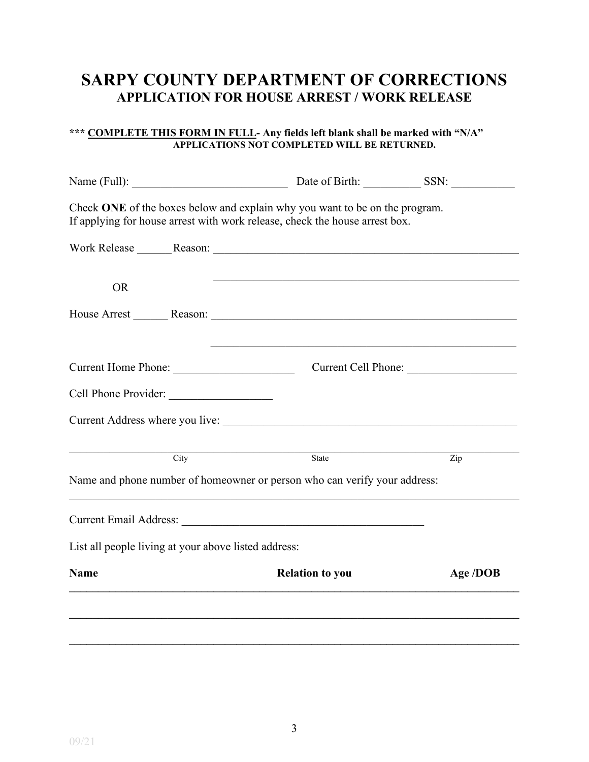## **SARPY COUNTY DEPARTMENT OF CORRECTIONS APPLICATION FOR HOUSE ARREST / WORK RELEASE**

#### **\*\*\* COMPLETE THIS FORM IN FULL- Any fields left blank shall be marked with "N/A" APPLICATIONS NOT COMPLETED WILL BE RETURNED.**

|             |                                                      | Check ONE of the boxes below and explain why you want to be on the program.<br>If applying for house arrest with work release, check the house arrest box. |                           |
|-------------|------------------------------------------------------|------------------------------------------------------------------------------------------------------------------------------------------------------------|---------------------------|
|             |                                                      |                                                                                                                                                            |                           |
| <b>OR</b>   |                                                      |                                                                                                                                                            |                           |
|             |                                                      |                                                                                                                                                            |                           |
|             | Current Home Phone:                                  |                                                                                                                                                            | Current Cell Phone:       |
|             | Cell Phone Provider:                                 |                                                                                                                                                            |                           |
|             |                                                      |                                                                                                                                                            |                           |
|             | $\frac{1}{\text{City}}$                              | State                                                                                                                                                      | $\overline{\mathrm{Zip}}$ |
|             |                                                      | Name and phone number of homeowner or person who can verify your address:                                                                                  |                           |
|             |                                                      |                                                                                                                                                            |                           |
|             | List all people living at your above listed address: |                                                                                                                                                            |                           |
| <b>Name</b> |                                                      | <b>Relation to you</b>                                                                                                                                     | Age /DOB                  |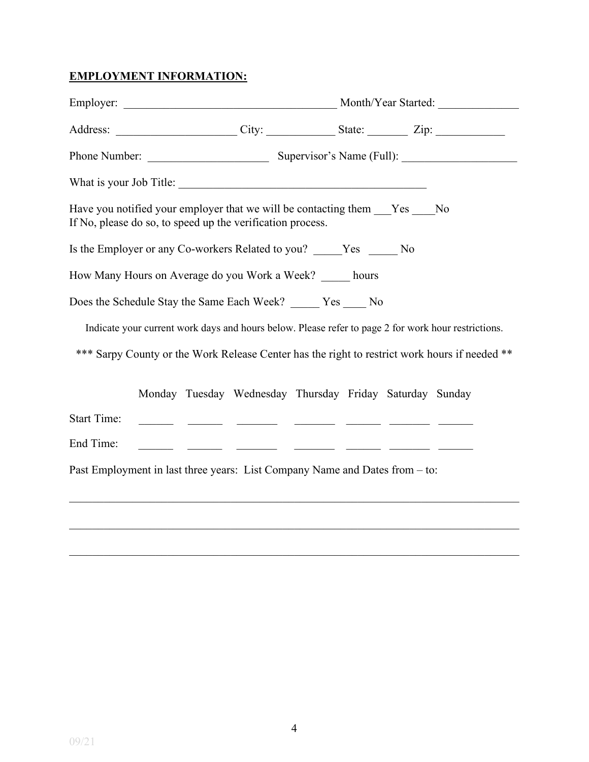### **EMPLOYMENT INFORMATION:**

|                                                                                                                                      |  |                                                          |  | Address: City: City: State: Zip: Zip:                                                               |
|--------------------------------------------------------------------------------------------------------------------------------------|--|----------------------------------------------------------|--|-----------------------------------------------------------------------------------------------------|
|                                                                                                                                      |  |                                                          |  |                                                                                                     |
|                                                                                                                                      |  |                                                          |  |                                                                                                     |
| Have you notified your employer that we will be contacting them Yes No<br>If No, please do so, to speed up the verification process. |  |                                                          |  |                                                                                                     |
| Is the Employer or any Co-workers Related to you? ______ Yes ______ No                                                               |  |                                                          |  |                                                                                                     |
| How Many Hours on Average do you Work a Week? _____ hours                                                                            |  |                                                          |  |                                                                                                     |
| Does the Schedule Stay the Same Each Week? _____ Yes ____ No                                                                         |  |                                                          |  |                                                                                                     |
|                                                                                                                                      |  |                                                          |  | Indicate your current work days and hours below. Please refer to page 2 for work hour restrictions. |
|                                                                                                                                      |  |                                                          |  | *** Sarpy County or the Work Release Center has the right to restrict work hours if needed **       |
|                                                                                                                                      |  | Monday Tuesday Wednesday Thursday Friday Saturday Sunday |  |                                                                                                     |
| <b>Start Time:</b>                                                                                                                   |  |                                                          |  |                                                                                                     |
| End Time:                                                                                                                            |  | <u> 1988 - Andrea Sann, amerikan persoa (h. 1988).</u>   |  |                                                                                                     |
| Past Employment in last three years: List Company Name and Dates from – to:                                                          |  |                                                          |  |                                                                                                     |
|                                                                                                                                      |  |                                                          |  |                                                                                                     |
|                                                                                                                                      |  |                                                          |  |                                                                                                     |

\_\_\_\_\_\_\_\_\_\_\_\_\_\_\_\_\_\_\_\_\_\_\_\_\_\_\_\_\_\_\_\_\_\_\_\_\_\_\_\_\_\_\_\_\_\_\_\_\_\_\_\_\_\_\_\_\_\_\_\_\_\_\_\_\_\_\_\_\_\_\_\_\_\_\_\_\_\_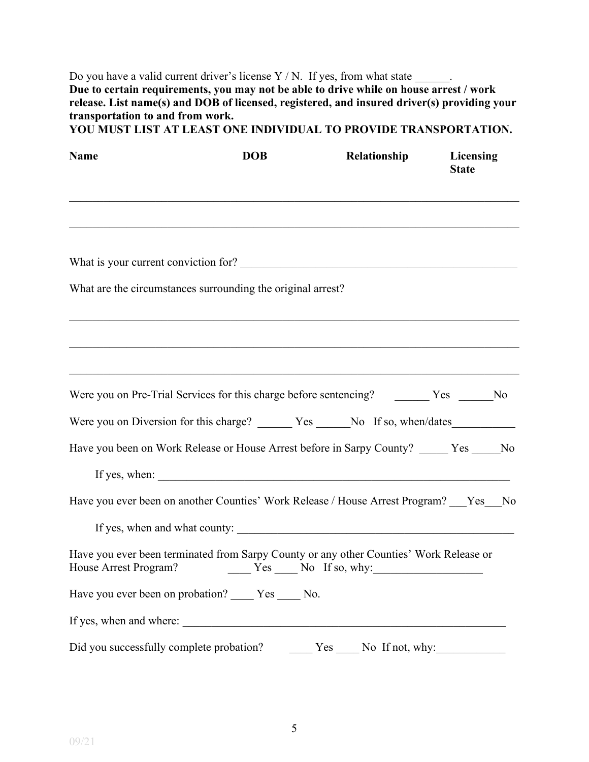Do you have a valid current driver's license  $Y/N$ . If yes, from what state  $\_\_\_\_\_\$ . **Due to certain requirements, you may not be able to drive while on house arrest / work release. List name(s) and DOB of licensed, registered, and insured driver(s) providing your transportation to and from work.** 

|  |  | YOU MUST LIST AT LEAST ONE INDIVIDUAL TO PROVIDE TRANSPORTATION. |
|--|--|------------------------------------------------------------------|
|--|--|------------------------------------------------------------------|

| <b>Name</b>                              | <b>DOB</b>                                                                                                                                      | Relationship           | <b>Licensing</b><br><b>State</b> |
|------------------------------------------|-------------------------------------------------------------------------------------------------------------------------------------------------|------------------------|----------------------------------|
|                                          |                                                                                                                                                 |                        |                                  |
|                                          | What is your current conviction for?                                                                                                            |                        |                                  |
|                                          | What are the circumstances surrounding the original arrest?                                                                                     |                        |                                  |
|                                          |                                                                                                                                                 |                        |                                  |
|                                          | Were you on Pre-Trial Services for this charge before sentencing? The Trial Services of this charge before sentencing? The Trial Services in No |                        |                                  |
|                                          | Were you on Diversion for this charge? _______ Yes ______ No If so, when/dates_____________________                                             |                        |                                  |
|                                          | Have you been on Work Release or House Arrest before in Sarpy County? _____ Yes _____ No                                                        |                        |                                  |
|                                          |                                                                                                                                                 |                        |                                  |
|                                          | Have you ever been on another Counties' Work Release / House Arrest Program? Yes No                                                             |                        |                                  |
|                                          |                                                                                                                                                 |                        |                                  |
| House Arrest Program?                    | Have you ever been terminated from Sarpy County or any other Counties' Work Release or<br>$Yes$ Mo If so, why:                                  |                        |                                  |
|                                          | Have you ever been on probation? _____ Yes _____ No.                                                                                            |                        |                                  |
|                                          |                                                                                                                                                 |                        |                                  |
| Did you successfully complete probation? |                                                                                                                                                 | No If not, why:<br>Yes |                                  |